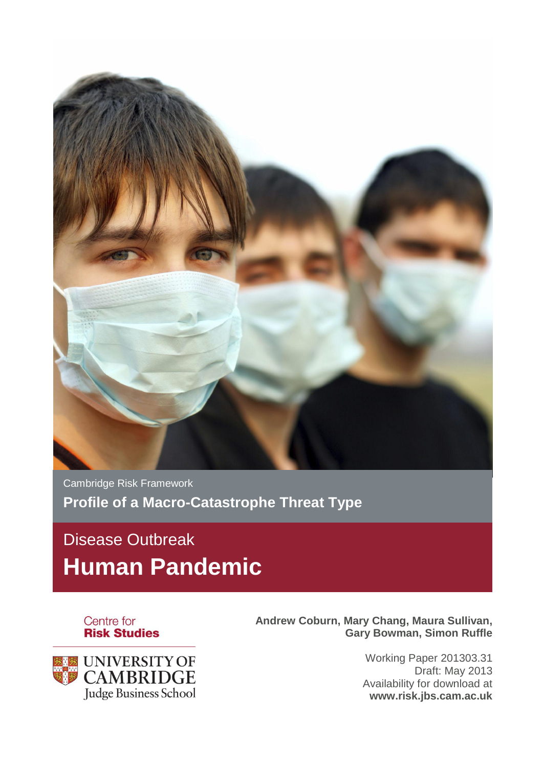

Cambridge Risk Framework **Profile of a Macro-Catastrophe Threat Type**

# Disease Outbreak **Human Pandemic**





**Andrew Coburn, Mary Chang, Maura Sullivan, Gary Bowman, Simon Ruffle**

> Working Paper 201303.31 Draft: May 2013 Availability for download at **www.risk.jbs.cam.ac.uk**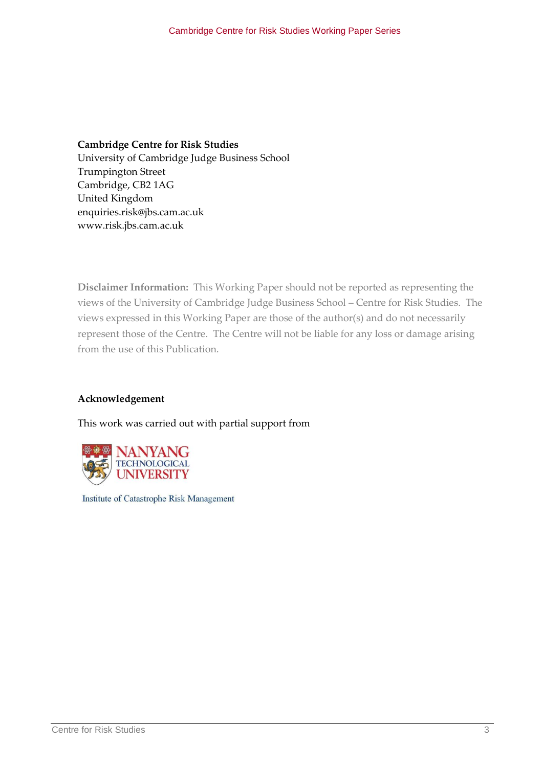## **Cambridge Centre for Risk Studies**  University of Cambridge Judge Business School Trumpington Street Cambridge, CB2 1AG United Kingdom enquiries.risk@jbs.cam.ac.uk www.risk.jbs.cam.ac.uk

**Disclaimer Information:** This Working Paper should not be reported as representing the views of the University of Cambridge Judge Business School – Centre for Risk Studies. The views expressed in this Working Paper are those of the author(s) and do not necessarily represent those of the Centre. The Centre will not be liable for any loss or damage arising from the use of this Publication.

## **Acknowledgement**

This work was carried out with partial support from



Institute of Catastrophe Risk Management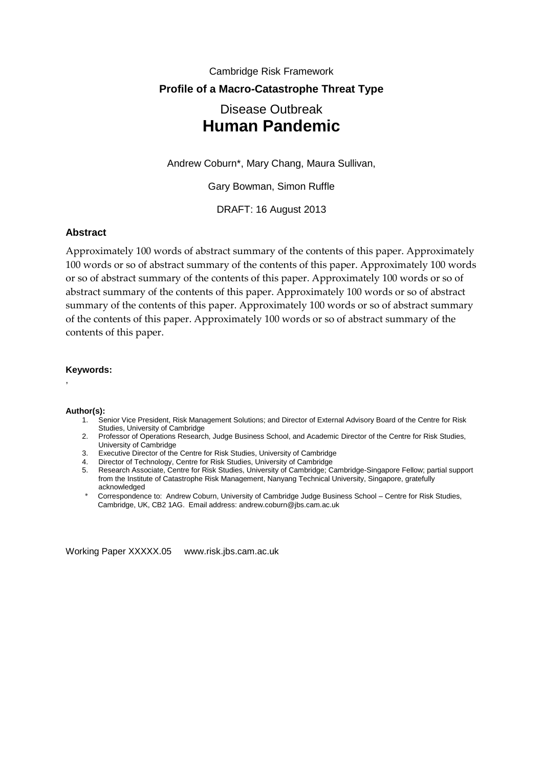# Cambridge Risk Framework **Profile of a Macro-Catastrophe Threat Type** Disease Outbreak **Human Pandemic**

Andrew Coburn\*, Mary Chang, Maura Sullivan,

Gary Bowman, Simon Ruffle

DRAFT: 16 August 2013

## **Abstract**

Approximately 100 words of abstract summary of the contents of this paper. Approximately 100 words or so of abstract summary of the contents of this paper. Approximately 100 words or so of abstract summary of the contents of this paper. Approximately 100 words or so of abstract summary of the contents of this paper. Approximately 100 words or so of abstract summary of the contents of this paper. Approximately 100 words or so of abstract summary of the contents of this paper. Approximately 100 words or so of abstract summary of the contents of this paper.

#### **Keywords:**

,

#### **Author(s):**

- 1. Senior Vice President, Risk Management Solutions; and Director of External Advisory Board of the Centre for Risk Studies, University of Cambridge
- 2. Professor of Operations Research, Judge Business School, and Academic Director of the Centre for Risk Studies, University of Cambridge
- 3. Executive Director of the Centre for Risk Studies, University of Cambridge
- 4. Director of Technology, Centre for Risk Studies, University of Cambridge
- 5. Research Associate, Centre for Risk Studies, University of Cambridge; Cambridge-Singapore Fellow; partial support from the Institute of Catastrophe Risk Management, Nanyang Technical University, Singapore, gratefully acknowledged
- \* Correspondence to: Andrew Coburn, University of Cambridge Judge Business School Centre for Risk Studies, Cambridge, UK, CB2 1AG. Email address: andrew.coburn@jbs.cam.ac.uk

Working Paper XXXXX.05 www.risk.jbs.cam.ac.uk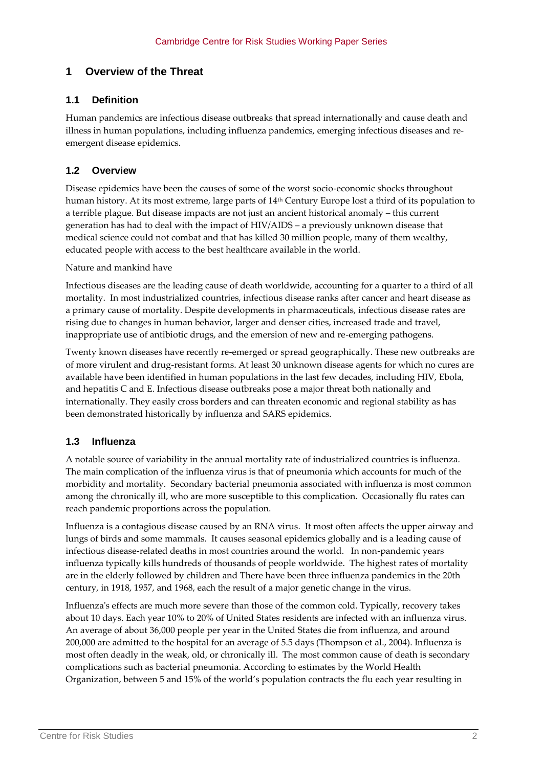# **1 Overview of the Threat**

## **1.1 Definition**

Human pandemics are infectious disease outbreaks that spread internationally and cause death and illness in human populations, including influenza pandemics, emerging infectious diseases and reemergent disease epidemics.

## **1.2 Overview**

Disease epidemics have been the causes of some of the worst socio-economic shocks throughout human history. At its most extreme, large parts of 14<sup>th</sup> Century Europe lost a third of its population to a terrible plague. But disease impacts are not just an ancient historical anomaly – this current generation has had to deal with the impact of HIV/AIDS – a previously unknown disease that medical science could not combat and that has killed 30 million people, many of them wealthy, educated people with access to the best healthcare available in the world.

Nature and mankind have

Infectious diseases are the leading cause of death worldwide, accounting for a quarter to a third of all mortality. In most industrialized countries, infectious disease ranks after cancer and heart disease as a primary cause of mortality. Despite developments in pharmaceuticals, infectious disease rates are rising due to changes in human behavior, larger and denser cities, increased trade and travel, inappropriate use of antibiotic drugs, and the emersion of new and re-emerging pathogens.

Twenty known diseases have recently re-emerged or spread geographically. These new outbreaks are of more virulent and drug-resistant forms. At least 30 unknown disease agents for which no cures are available have been identified in human populations in the last few decades, including HIV, Ebola, and hepatitis C and E. Infectious disease outbreaks pose a major threat both nationally and internationally. They easily cross borders and can threaten economic and regional stability as has been demonstrated historically by influenza and SARS epidemics.

## **1.3 Influenza**

A notable source of variability in the annual mortality rate of industrialized countries is influenza. The main complication of the influenza virus is that of pneumonia which accounts for much of the morbidity and mortality. Secondary bacterial pneumonia associated with influenza is most common among the chronically ill, who are more susceptible to this complication. Occasionally flu rates can reach pandemic proportions across the population.

Influenza is a contagious disease caused by an RNA virus. It most often affects the upper airway and lungs of birds and some mammals. It causes seasonal epidemics globally and is a leading cause of infectious disease-related deaths in most countries around the world. In non-pandemic years influenza typically kills hundreds of thousands of people worldwide. The highest rates of mortality are in the elderly followed by children and There have been three influenza pandemics in the 20th century, in 1918, 1957, and 1968, each the result of a major genetic change in the virus.

Influenza's effects are much more severe than those of the common cold. Typically, recovery takes about 10 days. Each year 10% to 20% of United States residents are infected with an influenza virus. An average of about 36,000 people per year in the United States die from influenza, and around 200,000 are admitted to the hospital for an average of 5.5 days (Thompson et al., 2004). Influenza is most often deadly in the weak, old, or chronically ill. The most common cause of death is secondary complications such as bacterial pneumonia. According to estimates by the World Health Organization, between 5 and 15% of the world's population contracts the flu each year resulting in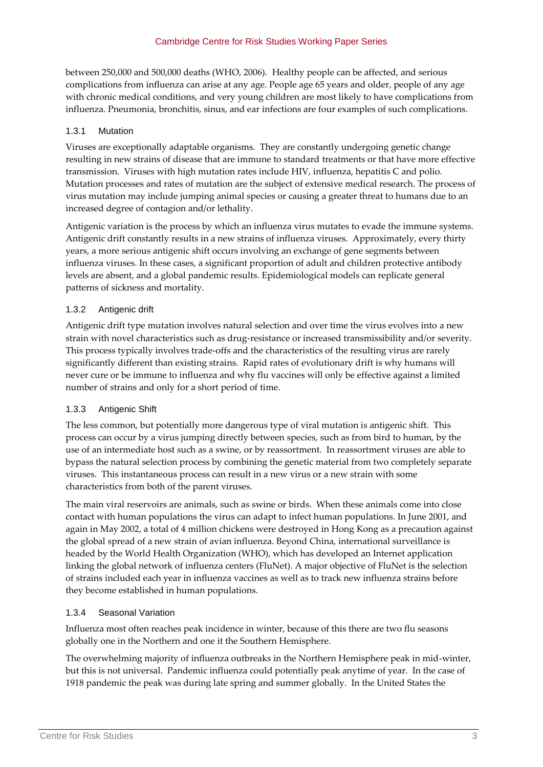between 250,000 and 500,000 deaths (WHO, 2006). Healthy people can be affected, and serious complications from influenza can arise at any age. People age 65 years and older, people of any age with chronic medical conditions, and very young children are most likely to have complications from influenza. Pneumonia, bronchitis, sinus, and ear infections are four examples of such complications.

## 1.3.1 Mutation

Viruses are exceptionally adaptable organisms. They are constantly undergoing genetic change resulting in new strains of disease that are immune to standard treatments or that have more effective transmission. Viruses with high mutation rates include HIV, influenza, hepatitis C and polio. Mutation processes and rates of mutation are the subject of extensive medical research. The process of virus mutation may include jumping animal species or causing a greater threat to humans due to an increased degree of contagion and/or lethality.

Antigenic variation is the process by which an influenza virus mutates to evade the immune systems. Antigenic drift constantly results in a new strains of influenza viruses. Approximately, every thirty years, a more serious antigenic shift occurs involving an exchange of gene segments between influenza viruses. In these cases, a significant proportion of adult and children protective antibody levels are absent, and a global pandemic results. Epidemiological models can replicate general patterns of sickness and mortality.

## 1.3.2 Antigenic drift

Antigenic drift type mutation involves natural selection and over time the virus evolves into a new strain with novel characteristics such as drug-resistance or increased transmissibility and/or severity. This process typically involves trade-offs and the characteristics of the resulting virus are rarely significantly different than existing strains. Rapid rates of evolutionary drift is why humans will never cure or be immune to influenza and why flu vaccines will only be effective against a limited number of strains and only for a short period of time.

## 1.3.3 Antigenic Shift

The less common, but potentially more dangerous type of viral mutation is antigenic shift. This process can occur by a virus jumping directly between species, such as from bird to human, by the use of an intermediate host such as a swine, or by reassortment. In reassortment viruses are able to bypass the natural selection process by combining the genetic material from two completely separate viruses. This instantaneous process can result in a new virus or a new strain with some characteristics from both of the parent viruses.

The main viral reservoirs are animals, such as swine or birds. When these animals come into close contact with human populations the virus can adapt to infect human populations. In June 2001, and again in May 2002, a total of 4 million chickens were destroyed in Hong Kong as a precaution against the global spread of a new strain of avian influenza. Beyond China, international surveillance is headed by the World Health Organization (WHO), which has developed an Internet application linking the global network of influenza centers (FluNet). A major objective of FluNet is the selection of strains included each year in influenza vaccines as well as to track new influenza strains before they become established in human populations.

## 1.3.4 Seasonal Variation

Influenza most often reaches peak incidence in winter, because of this there are two flu seasons globally one in the Northern and one it the Southern Hemisphere.

The overwhelming majority of influenza outbreaks in the Northern Hemisphere peak in mid-winter, but this is not universal. Pandemic influenza could potentially peak anytime of year. In the case of 1918 pandemic the peak was during late spring and summer globally. In the United States the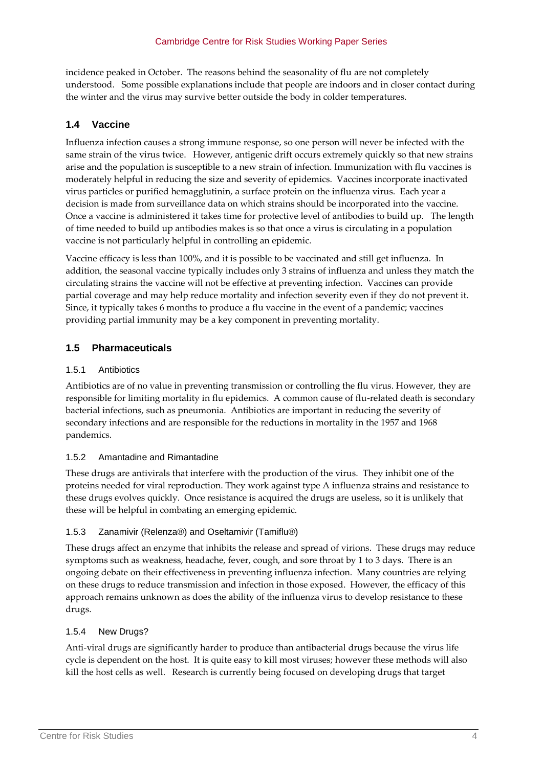incidence peaked in October. The reasons behind the seasonality of flu are not completely understood. Some possible explanations include that people are indoors and in closer contact during the winter and the virus may survive better outside the body in colder temperatures.

## **1.4 Vaccine**

Influenza infection causes a strong immune response, so one person will never be infected with the same strain of the virus twice. However, antigenic drift occurs extremely quickly so that new strains arise and the population is susceptible to a new strain of infection. Immunization with flu vaccines is moderately helpful in reducing the size and severity of epidemics. Vaccines incorporate inactivated virus particles or purified hemagglutinin, a surface protein on the influenza virus. Each year a decision is made from surveillance data on which strains should be incorporated into the vaccine. Once a vaccine is administered it takes time for protective level of antibodies to build up. The length of time needed to build up antibodies makes is so that once a virus is circulating in a population vaccine is not particularly helpful in controlling an epidemic.

Vaccine efficacy is less than 100%, and it is possible to be vaccinated and still get influenza. In addition, the seasonal vaccine typically includes only 3 strains of influenza and unless they match the circulating strains the vaccine will not be effective at preventing infection. Vaccines can provide partial coverage and may help reduce mortality and infection severity even if they do not prevent it. Since, it typically takes 6 months to produce a flu vaccine in the event of a pandemic; vaccines providing partial immunity may be a key component in preventing mortality.

## **1.5 Pharmaceuticals**

#### 1.5.1 Antibiotics

Antibiotics are of no value in preventing transmission or controlling the flu virus. However, they are responsible for limiting mortality in flu epidemics. A common cause of flu-related death is secondary bacterial infections, such as pneumonia. Antibiotics are important in reducing the severity of secondary infections and are responsible for the reductions in mortality in the 1957 and 1968 pandemics.

## 1.5.2 Amantadine and Rimantadine

These drugs are antivirals that interfere with the production of the virus. They inhibit one of the proteins needed for viral reproduction. They work against type A influenza strains and resistance to these drugs evolves quickly. Once resistance is acquired the drugs are useless, so it is unlikely that these will be helpful in combating an emerging epidemic.

## 1.5.3 Zanamivir (Relenza®) and Oseltamivir (Tamiflu®)

These drugs affect an enzyme that inhibits the release and spread of virions. These drugs may reduce symptoms such as weakness, headache, fever, cough, and sore throat by 1 to 3 days. There is an ongoing debate on their effectiveness in preventing influenza infection. Many countries are relying on these drugs to reduce transmission and infection in those exposed. However, the efficacy of this approach remains unknown as does the ability of the influenza virus to develop resistance to these drugs.

## 1.5.4 New Drugs?

Anti-viral drugs are significantly harder to produce than antibacterial drugs because the virus life cycle is dependent on the host. It is quite easy to kill most viruses; however these methods will also kill the host cells as well. Research is currently being focused on developing drugs that target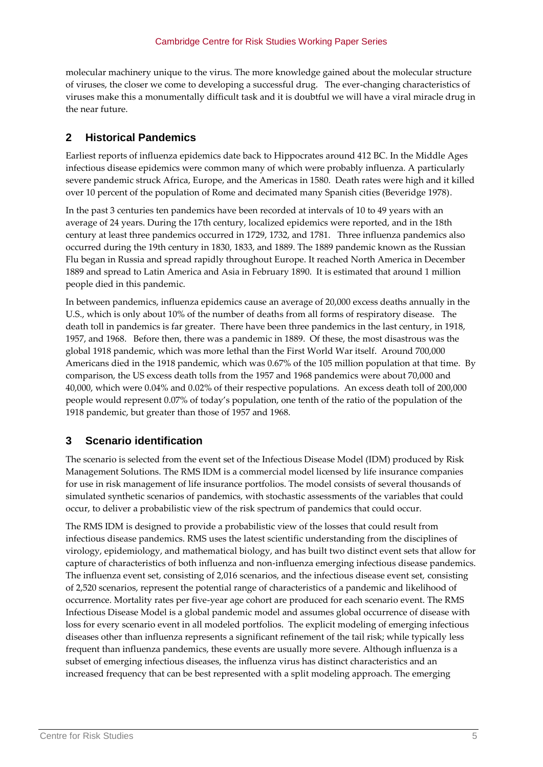molecular machinery unique to the virus. The more knowledge gained about the molecular structure of viruses, the closer we come to developing a successful drug. The ever-changing characteristics of viruses make this a monumentally difficult task and it is doubtful we will have a viral miracle drug in the near future.

# **2 Historical Pandemics**

Earliest reports of influenza epidemics date back to Hippocrates around 412 BC. In the Middle Ages infectious disease epidemics were common many of which were probably influenza. A particularly severe pandemic struck Africa, Europe, and the Americas in 1580. Death rates were high and it killed over 10 percent of the population of Rome and decimated many Spanish cities (Beveridge 1978).

In the past 3 centuries ten pandemics have been recorded at intervals of 10 to 49 years with an average of 24 years. During the 17th century, localized epidemics were reported, and in the 18th century at least three pandemics occurred in 1729, 1732, and 1781. Three influenza pandemics also occurred during the 19th century in 1830, 1833, and 1889. The 1889 pandemic known as the Russian Flu began in Russia and spread rapidly throughout Europe. It reached North America in December 1889 and spread to Latin America and Asia in February 1890. It is estimated that around 1 million people died in this pandemic.

In between pandemics, influenza epidemics cause an average of 20,000 excess deaths annually in the U.S., which is only about 10% of the number of deaths from all forms of respiratory disease. The death toll in pandemics is far greater. There have been three pandemics in the last century, in 1918, 1957, and 1968. Before then, there was a pandemic in 1889. Of these, the most disastrous was the global 1918 pandemic, which was more lethal than the First World War itself. Around 700,000 Americans died in the 1918 pandemic, which was 0.67% of the 105 million population at that time. By comparison, the US excess death tolls from the 1957 and 1968 pandemics were about 70,000 and 40,000, which were 0.04% and 0.02% of their respective populations. An excess death toll of 200,000 people would represent 0.07% of today's population, one tenth of the ratio of the population of the 1918 pandemic, but greater than those of 1957 and 1968.

## **3 Scenario identification**

The scenario is selected from the event set of the Infectious Disease Model (IDM) produced by Risk Management Solutions. The RMS IDM is a commercial model licensed by life insurance companies for use in risk management of life insurance portfolios. The model consists of several thousands of simulated synthetic scenarios of pandemics, with stochastic assessments of the variables that could occur, to deliver a probabilistic view of the risk spectrum of pandemics that could occur.

The RMS IDM is designed to provide a probabilistic view of the losses that could result from infectious disease pandemics. RMS uses the latest scientific understanding from the disciplines of virology, epidemiology, and mathematical biology, and has built two distinct event sets that allow for capture of characteristics of both influenza and non-influenza emerging infectious disease pandemics. The influenza event set, consisting of 2,016 scenarios, and the infectious disease event set, consisting of 2,520 scenarios, represent the potential range of characteristics of a pandemic and likelihood of occurrence. Mortality rates per five-year age cohort are produced for each scenario event. The RMS Infectious Disease Model is a global pandemic model and assumes global occurrence of disease with loss for every scenario event in all modeled portfolios. The explicit modeling of emerging infectious diseases other than influenza represents a significant refinement of the tail risk; while typically less frequent than influenza pandemics, these events are usually more severe. Although influenza is a subset of emerging infectious diseases, the influenza virus has distinct characteristics and an increased frequency that can be best represented with a split modeling approach. The emerging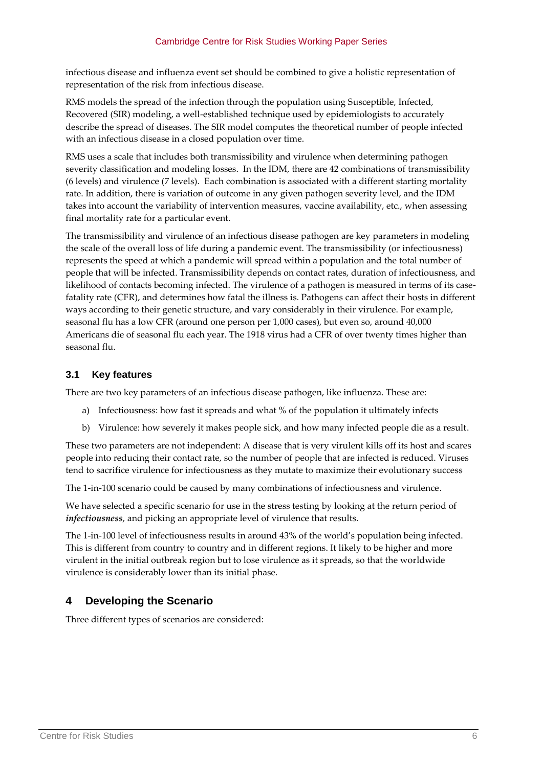infectious disease and influenza event set should be combined to give a holistic representation of representation of the risk from infectious disease.

RMS models the spread of the infection through the population using Susceptible, Infected, Recovered (SIR) modeling, a well-established technique used by epidemiologists to accurately describe the spread of diseases. The SIR model computes the theoretical number of people infected with an infectious disease in a closed population over time.

RMS uses a scale that includes both transmissibility and virulence when determining pathogen severity classification and modeling losses. In the IDM, there are 42 combinations of transmissibility (6 levels) and virulence (7 levels). Each combination is associated with a different starting mortality rate. In addition, there is variation of outcome in any given pathogen severity level, and the IDM takes into account the variability of intervention measures, vaccine availability, etc., when assessing final mortality rate for a particular event.

The transmissibility and virulence of an infectious disease pathogen are key parameters in modeling the scale of the overall loss of life during a pandemic event. The transmissibility (or infectiousness) represents the speed at which a pandemic will spread within a population and the total number of people that will be infected. Transmissibility depends on contact rates, duration of infectiousness, and likelihood of contacts becoming infected. The virulence of a pathogen is measured in terms of its casefatality rate (CFR), and determines how fatal the illness is. Pathogens can affect their hosts in different ways according to their genetic structure, and vary considerably in their virulence. For example, seasonal flu has a low CFR (around one person per 1,000 cases), but even so, around 40,000 Americans die of seasonal flu each year. The 1918 virus had a CFR of over twenty times higher than seasonal flu.

## **3.1 Key features**

There are two key parameters of an infectious disease pathogen, like influenza. These are:

- a) Infectiousness: how fast it spreads and what % of the population it ultimately infects
- b) Virulence: how severely it makes people sick, and how many infected people die as a result.

These two parameters are not independent: A disease that is very virulent kills off its host and scares people into reducing their contact rate, so the number of people that are infected is reduced. Viruses tend to sacrifice virulence for infectiousness as they mutate to maximize their evolutionary success

The 1-in-100 scenario could be caused by many combinations of infectiousness and virulence.

We have selected a specific scenario for use in the stress testing by looking at the return period of *infectiousness*, and picking an appropriate level of virulence that results.

The 1-in-100 level of infectiousness results in around 43% of the world's population being infected. This is different from country to country and in different regions. It likely to be higher and more virulent in the initial outbreak region but to lose virulence as it spreads, so that the worldwide virulence is considerably lower than its initial phase.

# **4 Developing the Scenario**

Three different types of scenarios are considered: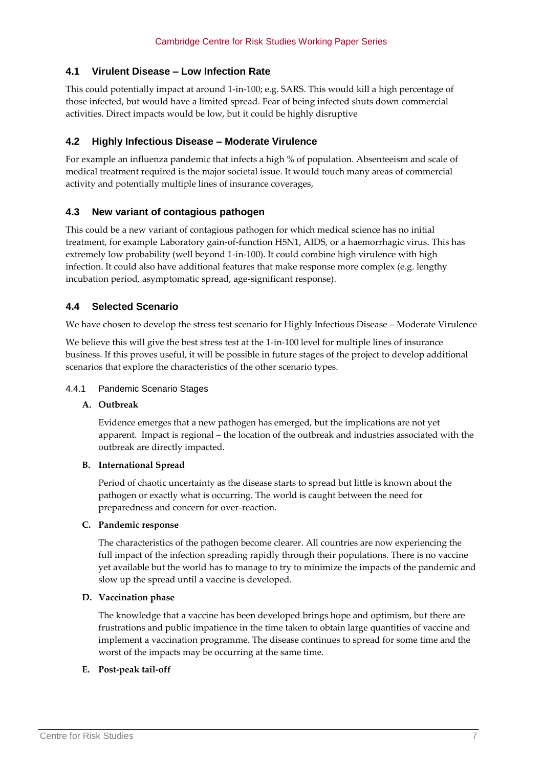## **4.1 Virulent Disease – Low Infection Rate**

This could potentially impact at around 1-in-100; e.g. SARS. This would kill a high percentage of those infected, but would have a limited spread. Fear of being infected shuts down commercial activities. Direct impacts would be low, but it could be highly disruptive

## **4.2 Highly Infectious Disease – Moderate Virulence**

For example an influenza pandemic that infects a high % of population. Absenteeism and scale of medical treatment required is the major societal issue. It would touch many areas of commercial activity and potentially multiple lines of insurance coverages,

## **4.3 New variant of contagious pathogen**

This could be a new variant of contagious pathogen for which medical science has no initial treatment, for example Laboratory gain-of-function H5N1, AIDS, or a haemorrhagic virus. This has extremely low probability (well beyond 1-in-100). It could combine high virulence with high infection. It could also have additional features that make response more complex (e.g. lengthy incubation period, asymptomatic spread, age-significant response).

## **4.4 Selected Scenario**

We have chosen to develop the stress test scenario for Highly Infectious Disease – Moderate Virulence

We believe this will give the best stress test at the 1-in-100 level for multiple lines of insurance business. If this proves useful, it will be possible in future stages of the project to develop additional scenarios that explore the characteristics of the other scenario types.

#### 4.4.1 Pandemic Scenario Stages

#### **A. Outbreak**

Evidence emerges that a new pathogen has emerged, but the implications are not yet apparent. Impact is regional – the location of the outbreak and industries associated with the outbreak are directly impacted.

#### **B. International Spread**

Period of chaotic uncertainty as the disease starts to spread but little is known about the pathogen or exactly what is occurring. The world is caught between the need for preparedness and concern for over-reaction.

#### **C. Pandemic response**

The characteristics of the pathogen become clearer. All countries are now experiencing the full impact of the infection spreading rapidly through their populations. There is no vaccine yet available but the world has to manage to try to minimize the impacts of the pandemic and slow up the spread until a vaccine is developed.

#### **D. Vaccination phase**

The knowledge that a vaccine has been developed brings hope and optimism, but there are frustrations and public impatience in the time taken to obtain large quantities of vaccine and implement a vaccination programme. The disease continues to spread for some time and the worst of the impacts may be occurring at the same time.

## **E. Post-peak tail-off**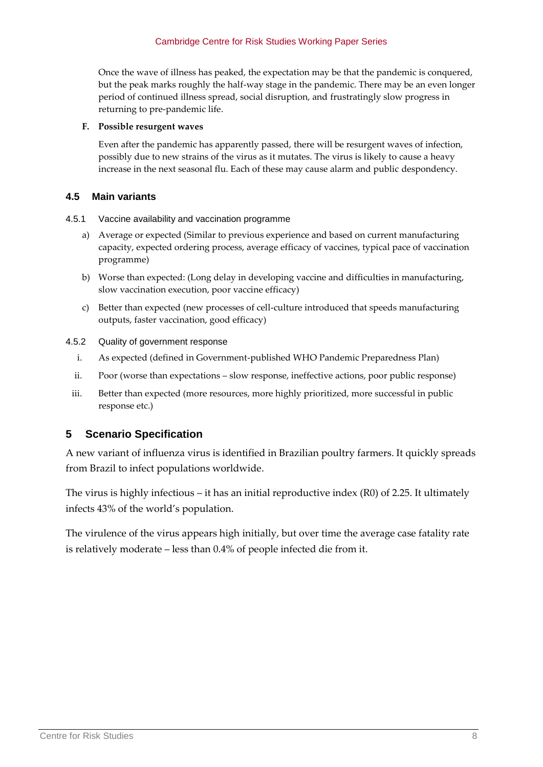Once the wave of illness has peaked, the expectation may be that the pandemic is conquered, but the peak marks roughly the half-way stage in the pandemic. There may be an even longer period of continued illness spread, social disruption, and frustratingly slow progress in returning to pre-pandemic life.

#### **F. Possible resurgent waves**

Even after the pandemic has apparently passed, there will be resurgent waves of infection, possibly due to new strains of the virus as it mutates. The virus is likely to cause a heavy increase in the next seasonal flu. Each of these may cause alarm and public despondency.

## **4.5 Main variants**

- 4.5.1 Vaccine availability and vaccination programme
	- a) Average or expected (Similar to previous experience and based on current manufacturing capacity, expected ordering process, average efficacy of vaccines, typical pace of vaccination programme)
	- b) Worse than expected: (Long delay in developing vaccine and difficulties in manufacturing, slow vaccination execution, poor vaccine efficacy)
	- c) Better than expected (new processes of cell-culture introduced that speeds manufacturing outputs, faster vaccination, good efficacy)
- 4.5.2 Quality of government response
	- i. As expected (defined in Government-published WHO Pandemic Preparedness Plan)
	- ii. Poor (worse than expectations slow response, ineffective actions, poor public response)
	- iii. Better than expected (more resources, more highly prioritized, more successful in public response etc.)

# **5 Scenario Specification**

A new variant of influenza virus is identified in Brazilian poultry farmers. It quickly spreads from Brazil to infect populations worldwide.

The virus is highly infectious – it has an initial reproductive index  $(R0)$  of 2.25. It ultimately infects 43% of the world's population.

The virulence of the virus appears high initially, but over time the average case fatality rate is relatively moderate – less than 0.4% of people infected die from it.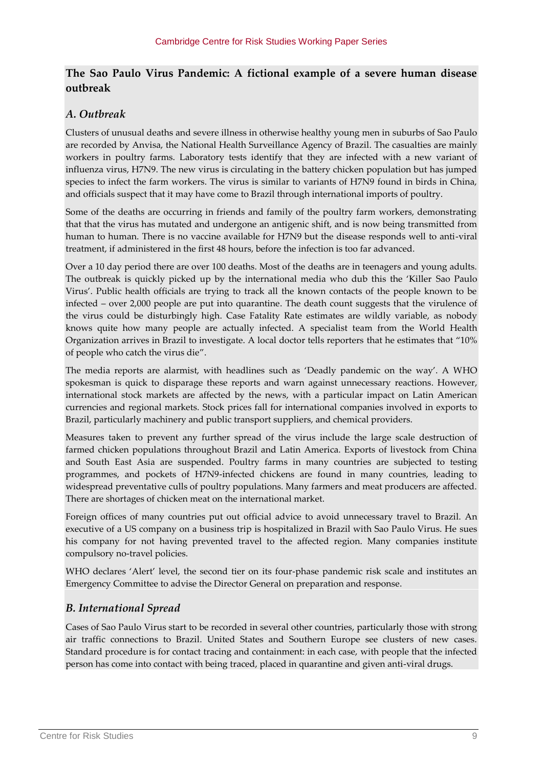## **The Sao Paulo Virus Pandemic: A fictional example of a severe human disease outbreak**

# *A. Outbreak*

Clusters of unusual deaths and severe illness in otherwise healthy young men in suburbs of Sao Paulo are recorded by Anvisa, the National Health Surveillance Agency of Brazil. The casualties are mainly workers in poultry farms. Laboratory tests identify that they are infected with a new variant of influenza virus, H7N9. The new virus is circulating in the battery chicken population but has jumped species to infect the farm workers. The virus is similar to variants of H7N9 found in birds in China, and officials suspect that it may have come to Brazil through international imports of poultry.

Some of the deaths are occurring in friends and family of the poultry farm workers, demonstrating that that the virus has mutated and undergone an antigenic shift, and is now being transmitted from human to human. There is no vaccine available for H7N9 but the disease responds well to anti-viral treatment, if administered in the first 48 hours, before the infection is too far advanced.

Over a 10 day period there are over 100 deaths. Most of the deaths are in teenagers and young adults. The outbreak is quickly picked up by the international media who dub this the 'Killer Sao Paulo Virus'. Public health officials are trying to track all the known contacts of the people known to be infected – over 2,000 people are put into quarantine. The death count suggests that the virulence of the virus could be disturbingly high. Case Fatality Rate estimates are wildly variable, as nobody knows quite how many people are actually infected. A specialist team from the World Health Organization arrives in Brazil to investigate. A local doctor tells reporters that he estimates that '10% of people who catch the virus die'.

The media reports are alarmist, with headlines such as 'Deadly pandemic on the way'. A WHO spokesman is quick to disparage these reports and warn against unnecessary reactions. However, international stock markets are affected by the news, with a particular impact on Latin American currencies and regional markets. Stock prices fall for international companies involved in exports to Brazil, particularly machinery and public transport suppliers, and chemical providers.

Measures taken to prevent any further spread of the virus include the large scale destruction of farmed chicken populations throughout Brazil and Latin America. Exports of livestock from China and South East Asia are suspended. Poultry farms in many countries are subjected to testing programmes, and pockets of H7N9-infected chickens are found in many countries, leading to widespread preventative culls of poultry populations. Many farmers and meat producers are affected. There are shortages of chicken meat on the international market.

Foreign offices of many countries put out official advice to avoid unnecessary travel to Brazil. An executive of a US company on a business trip is hospitalized in Brazil with Sao Paulo Virus. He sues his company for not having prevented travel to the affected region. Many companies institute compulsory no-travel policies.

WHO declares 'Alert' level, the second tier on its four-phase pandemic risk scale and institutes an Emergency Committee to advise the Director General on preparation and response.

# *B. International Spread*

Cases of Sao Paulo Virus start to be recorded in several other countries, particularly those with strong air traffic connections to Brazil. United States and Southern Europe see clusters of new cases. Standard procedure is for contact tracing and containment: in each case, with people that the infected person has come into contact with being traced, placed in quarantine and given anti-viral drugs.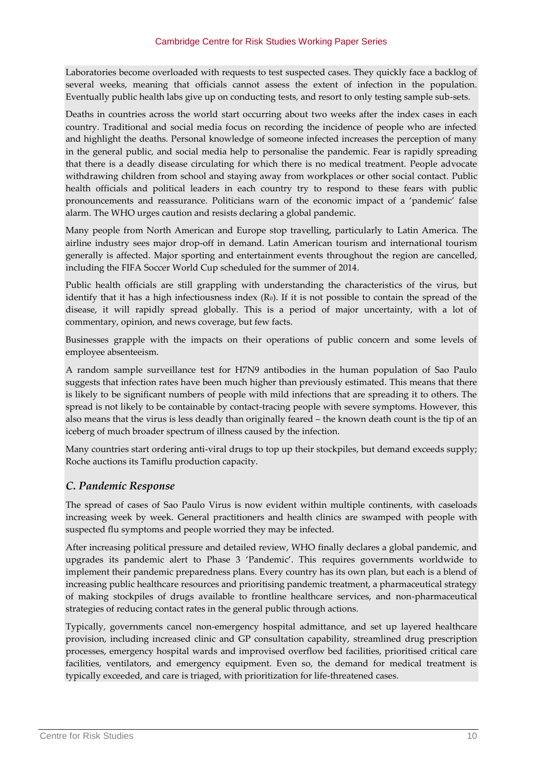Laboratories become overloaded with requests to test suspected cases. They quickly face a backlog of several weeks, meaning that officials cannot assess the extent of infection in the population. Eventually public health labs give up on conducting tests, and resort to only testing sample sub-sets.

Deaths in countries across the world start occurring about two weeks after the index cases in each country. Traditional and social media focus on recording the incidence of people who are infected and highlight the deaths. Personal knowledge of someone infected increases the perception of many in the general public, and social media help to personalise the pandemic. Fear is rapidly spreading that there is a deadly disease circulating for which there is no medical treatment. People advocate withdrawing children from school and staying away from workplaces or other social contact. Public health officials and political leaders in each country try to respond to these fears with public pronouncements and reassurance. Politicians warn of the economic impact of a 'pandemic' false alarm. The WHO urges caution and resists declaring a global pandemic.

Many people from North American and Europe stop travelling, particularly to Latin America. The airline industry sees major drop-off in demand. Latin American tourism and international tourism generally is affected. Major sporting and entertainment events throughout the region are cancelled, including the FIFA Soccer World Cup scheduled for the summer of 2014.

Public health officials are still grappling with understanding the characteristics of the virus, but identify that it has a high infectiousness index  $(R<sub>0</sub>)$ . If it is not possible to contain the spread of the disease, it will rapidly spread globally. This is a period of major uncertainty, with a lot of commentary, opinion, and news coverage, but few facts.

Businesses grapple with the impacts on their operations of public concern and some levels of employee absenteeism.

A random sample surveillance test for H7N9 antibodies in the human population of Sao Paulo suggests that infection rates have been much higher than previously estimated. This means that there is likely to be significant numbers of people with mild infections that are spreading it to others. The spread is not likely to be containable by contact-tracing people with severe symptoms. However, this also means that the virus is less deadly than originally feared – the known death count is the tip of an iceberg of much broader spectrum of illness caused by the infection.

Many countries start ordering anti-viral drugs to top up their stockpiles, but demand exceeds supply; Roche auctions its Tamiflu production capacity.

## *C. Pandemic Response*

The spread of cases of Sao Paulo Virus is now evident within multiple continents, with caseloads increasing week by week. General practitioners and health clinics are swamped with people with suspected flu symptoms and people worried they may be infected.

After increasing political pressure and detailed review, WHO finally declares a global pandemic, and upgrades its pandemic alert to Phase 3 'Pandemic'. This requires governments worldwide to implement their pandemic preparedness plans. Every country has its own plan, but each is a blend of increasing public healthcare resources and prioritising pandemic treatment, a pharmaceutical strategy of making stockpiles of drugs available to frontline healthcare services, and non-pharmaceutical strategies of reducing contact rates in the general public through actions.

Typically, governments cancel non-emergency hospital admittance, and set up layered healthcare provision, including increased clinic and GP consultation capability, streamlined drug prescription processes, emergency hospital wards and improvised overflow bed facilities, prioritised critical care facilities, ventilators, and emergency equipment. Even so, the demand for medical treatment is typically exceeded, and care is triaged, with prioritization for life-threatened cases.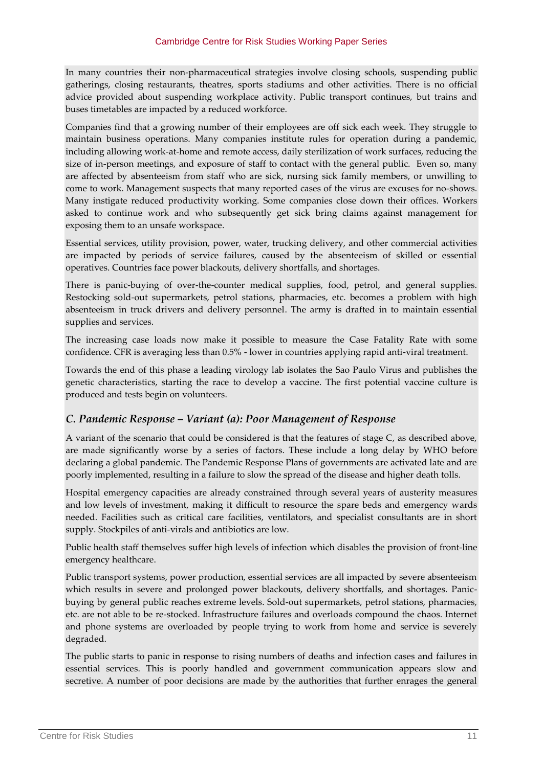In many countries their non-pharmaceutical strategies involve closing schools, suspending public gatherings, closing restaurants, theatres, sports stadiums and other activities. There is no official advice provided about suspending workplace activity. Public transport continues, but trains and buses timetables are impacted by a reduced workforce.

Companies find that a growing number of their employees are off sick each week. They struggle to maintain business operations. Many companies institute rules for operation during a pandemic, including allowing work-at-home and remote access, daily sterilization of work surfaces, reducing the size of in-person meetings, and exposure of staff to contact with the general public. Even so, many are affected by absenteeism from staff who are sick, nursing sick family members, or unwilling to come to work. Management suspects that many reported cases of the virus are excuses for no-shows. Many instigate reduced productivity working. Some companies close down their offices. Workers asked to continue work and who subsequently get sick bring claims against management for exposing them to an unsafe workspace.

Essential services, utility provision, power, water, trucking delivery, and other commercial activities are impacted by periods of service failures, caused by the absenteeism of skilled or essential operatives. Countries face power blackouts, delivery shortfalls, and shortages.

There is panic-buying of over-the-counter medical supplies, food, petrol, and general supplies. Restocking sold-out supermarkets, petrol stations, pharmacies, etc. becomes a problem with high absenteeism in truck drivers and delivery personnel. The army is drafted in to maintain essential supplies and services.

The increasing case loads now make it possible to measure the Case Fatality Rate with some confidence. CFR is averaging less than 0.5% - lower in countries applying rapid anti-viral treatment.

Towards the end of this phase a leading virology lab isolates the Sao Paulo Virus and publishes the genetic characteristics, starting the race to develop a vaccine. The first potential vaccine culture is produced and tests begin on volunteers.

## *C. Pandemic Response – Variant (a): Poor Management of Response*

A variant of the scenario that could be considered is that the features of stage C, as described above, are made significantly worse by a series of factors. These include a long delay by WHO before declaring a global pandemic. The Pandemic Response Plans of governments are activated late and are poorly implemented, resulting in a failure to slow the spread of the disease and higher death tolls.

Hospital emergency capacities are already constrained through several years of austerity measures and low levels of investment, making it difficult to resource the spare beds and emergency wards needed. Facilities such as critical care facilities, ventilators, and specialist consultants are in short supply. Stockpiles of anti-virals and antibiotics are low.

Public health staff themselves suffer high levels of infection which disables the provision of front-line emergency healthcare.

Public transport systems, power production, essential services are all impacted by severe absenteeism which results in severe and prolonged power blackouts, delivery shortfalls, and shortages. Panicbuying by general public reaches extreme levels. Sold-out supermarkets, petrol stations, pharmacies, etc. are not able to be re-stocked. Infrastructure failures and overloads compound the chaos. Internet and phone systems are overloaded by people trying to work from home and service is severely degraded.

The public starts to panic in response to rising numbers of deaths and infection cases and failures in essential services. This is poorly handled and government communication appears slow and secretive. A number of poor decisions are made by the authorities that further enrages the general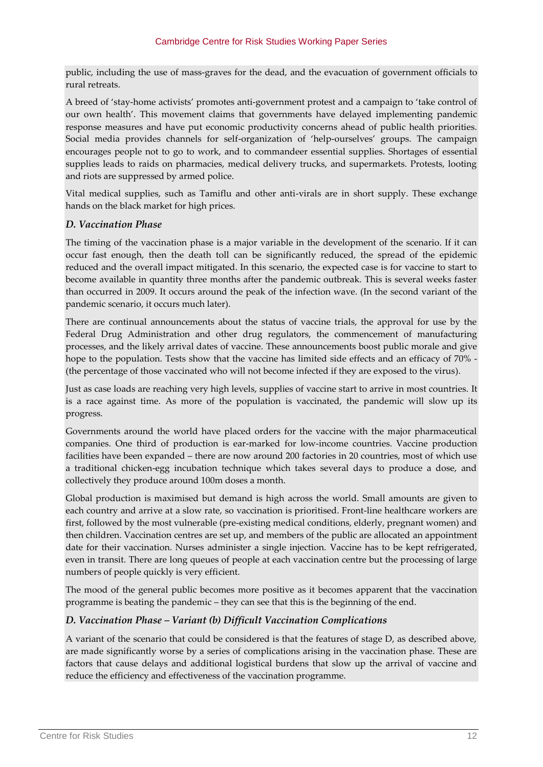public, including the use of mass-graves for the dead, and the evacuation of government officials to rural retreats.

A breed of 'stay-home activists' promotes anti-government protest and a campaign to 'take control of our own health'. This movement claims that governments have delayed implementing pandemic response measures and have put economic productivity concerns ahead of public health priorities. Social media provides channels for self-organization of 'help-ourselves' groups. The campaign encourages people not to go to work, and to commandeer essential supplies. Shortages of essential supplies leads to raids on pharmacies, medical delivery trucks, and supermarkets. Protests, looting and riots are suppressed by armed police.

Vital medical supplies, such as Tamiflu and other anti-virals are in short supply. These exchange hands on the black market for high prices.

## *D. Vaccination Phase*

The timing of the vaccination phase is a major variable in the development of the scenario. If it can occur fast enough, then the death toll can be significantly reduced, the spread of the epidemic reduced and the overall impact mitigated. In this scenario, the expected case is for vaccine to start to become available in quantity three months after the pandemic outbreak. This is several weeks faster than occurred in 2009. It occurs around the peak of the infection wave. (In the second variant of the pandemic scenario, it occurs much later).

There are continual announcements about the status of vaccine trials, the approval for use by the Federal Drug Administration and other drug regulators, the commencement of manufacturing processes, and the likely arrival dates of vaccine. These announcements boost public morale and give hope to the population. Tests show that the vaccine has limited side effects and an efficacy of 70% - (the percentage of those vaccinated who will not become infected if they are exposed to the virus).

Just as case loads are reaching very high levels, supplies of vaccine start to arrive in most countries. It is a race against time. As more of the population is vaccinated, the pandemic will slow up its progress.

Governments around the world have placed orders for the vaccine with the major pharmaceutical companies. One third of production is ear-marked for low-income countries. Vaccine production facilities have been expanded – there are now around 200 factories in 20 countries, most of which use a traditional chicken-egg incubation technique which takes several days to produce a dose, and collectively they produce around 100m doses a month.

Global production is maximised but demand is high across the world. Small amounts are given to each country and arrive at a slow rate, so vaccination is prioritised. Front-line healthcare workers are first, followed by the most vulnerable (pre-existing medical conditions, elderly, pregnant women) and then children. Vaccination centres are set up, and members of the public are allocated an appointment date for their vaccination. Nurses administer a single injection. Vaccine has to be kept refrigerated, even in transit. There are long queues of people at each vaccination centre but the processing of large numbers of people quickly is very efficient.

The mood of the general public becomes more positive as it becomes apparent that the vaccination programme is beating the pandemic – they can see that this is the beginning of the end.

## *D. Vaccination Phase – Variant (b) Difficult Vaccination Complications*

A variant of the scenario that could be considered is that the features of stage D, as described above, are made significantly worse by a series of complications arising in the vaccination phase. These are factors that cause delays and additional logistical burdens that slow up the arrival of vaccine and reduce the efficiency and effectiveness of the vaccination programme.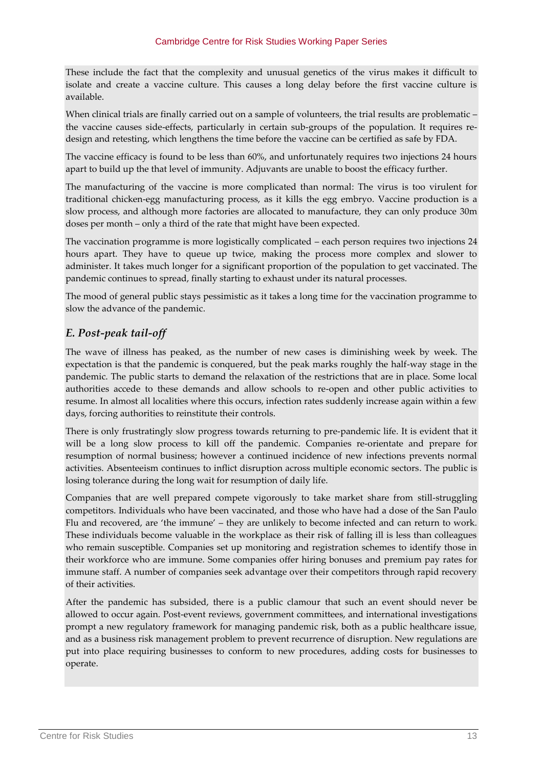These include the fact that the complexity and unusual genetics of the virus makes it difficult to isolate and create a vaccine culture. This causes a long delay before the first vaccine culture is available.

When clinical trials are finally carried out on a sample of volunteers, the trial results are problematic the vaccine causes side-effects, particularly in certain sub-groups of the population. It requires redesign and retesting, which lengthens the time before the vaccine can be certified as safe by FDA.

The vaccine efficacy is found to be less than 60%, and unfortunately requires two injections 24 hours apart to build up the that level of immunity. Adjuvants are unable to boost the efficacy further.

The manufacturing of the vaccine is more complicated than normal: The virus is too virulent for traditional chicken-egg manufacturing process, as it kills the egg embryo. Vaccine production is a slow process, and although more factories are allocated to manufacture, they can only produce 30m doses per month – only a third of the rate that might have been expected.

The vaccination programme is more logistically complicated – each person requires two injections 24 hours apart. They have to queue up twice, making the process more complex and slower to administer. It takes much longer for a significant proportion of the population to get vaccinated. The pandemic continues to spread, finally starting to exhaust under its natural processes.

The mood of general public stays pessimistic as it takes a long time for the vaccination programme to slow the advance of the pandemic.

## *E. Post-peak tail-off*

The wave of illness has peaked, as the number of new cases is diminishing week by week. The expectation is that the pandemic is conquered, but the peak marks roughly the half-way stage in the pandemic. The public starts to demand the relaxation of the restrictions that are in place. Some local authorities accede to these demands and allow schools to re-open and other public activities to resume. In almost all localities where this occurs, infection rates suddenly increase again within a few days, forcing authorities to reinstitute their controls.

There is only frustratingly slow progress towards returning to pre-pandemic life. It is evident that it will be a long slow process to kill off the pandemic. Companies re-orientate and prepare for resumption of normal business; however a continued incidence of new infections prevents normal activities. Absenteeism continues to inflict disruption across multiple economic sectors. The public is losing tolerance during the long wait for resumption of daily life.

Companies that are well prepared compete vigorously to take market share from still-struggling competitors. Individuals who have been vaccinated, and those who have had a dose of the San Paulo Flu and recovered, are 'the immune' – they are unlikely to become infected and can return to work. These individuals become valuable in the workplace as their risk of falling ill is less than colleagues who remain susceptible. Companies set up monitoring and registration schemes to identify those in their workforce who are immune. Some companies offer hiring bonuses and premium pay rates for immune staff. A number of companies seek advantage over their competitors through rapid recovery of their activities.

After the pandemic has subsided, there is a public clamour that such an event should never be allowed to occur again. Post-event reviews, government committees, and international investigations prompt a new regulatory framework for managing pandemic risk, both as a public healthcare issue, and as a business risk management problem to prevent recurrence of disruption. New regulations are put into place requiring businesses to conform to new procedures, adding costs for businesses to operate.